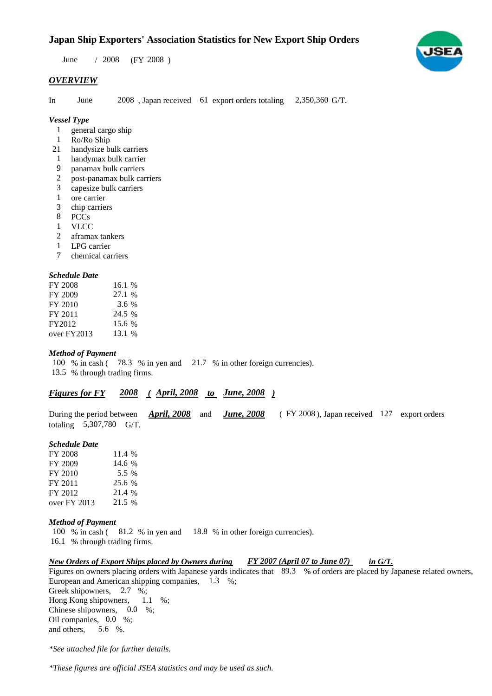# **Japan Ship Exporters' Association Statistics for New Export Ship Orders**

 $/ 2008$  (FY 2008) June / 2008

# *OVERVIEW*

In June 2008, Japan received 61 export orders totaling 2,350,360 G/T. June

*Vessel Type*

- general cargo ship 1
- Ro/Ro Ship 1
- handysize bulk carriers 21
- handymax bulk carrier 1
- panamax bulk carriers 9
- post-panamax bulk carriers 2
- capesize bulk carriers 3
- ore carrier 1
- chip carriers 3
- PCCs 8
- VLCC 1
- aframax tankers 2
- LPG carrier 1
- chemical carriers 7

#### *Schedule Date*

| FY 2008     | 16.1 $%$ |
|-------------|----------|
| FY 2009     | 27.1 %   |
| FY 2010     | 3.6 %    |
| FY 2011     | 24.5 %   |
| FY2012      | 15.6 %   |
| over FY2013 | 13.1 %   |

#### *Method of Payment*

100 % in cash (78.3 % in yen and 21.7 % in other foreign currencies). % through trading firms. 13.5

# *Figures for FY* 2008 (April, 2008 to June, 2008)

During the period between *April, 2008* and *June, 2008* (FY 2008), Japan received 127 export orders totaling  $5,307,780$  G/T.

#### *Schedule Date*

| FY 2008      | 11.4 % |
|--------------|--------|
| FY 2009      | 14.6 % |
| FY 2010      | 5.5 %  |
| FY 2011      | 25.6 % |
| FY 2012      | 21.4 % |
| over FY 2013 | 21.5 % |

#### *Method of Payment*

100 % in cash (81.2 % in yen and 18.8 % in other foreign currencies).

16.1 % through trading firms.

#### *New Orders of Export Ships placed by Owners during FY 2007 (April 07 to June 07) in G/T. FY 2007 (April 07 to June 07)*

Figures on owners placing orders with Japanese yards indicates that 89.3 % of orders are placed by Japanese related owners, European and American shipping companies, 1.3 %; Greek shipowners, 2.7 %; Hong Kong shipowners, Chinese shipowners,  $0.0\%$ ; Oil companies,  $0.0\%$ ; and others. 5.6 %.  $1.1 \t%;$ 

*\*See attached file for further details.*

*\*These figures are official JSEA statistics and may be used as such.*

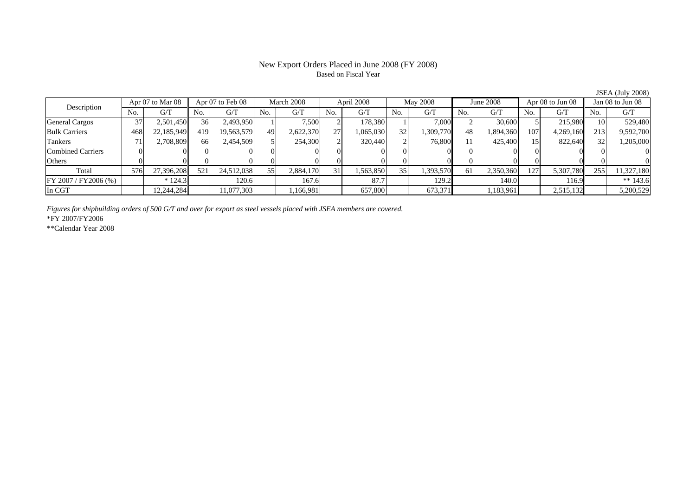# New Export Orders Placed in June 2008 (FY 2008) Based on Fiscal Year

JSEA (July 2008)

| Description           | Apr 07 to Mar 08 |            | Apr 07 to Feb 08 |            | March 2008     |           | April 2008 |           | May 2008 |           | June 2008 |           | Apr 08 to Jun 08 |           | Jan 08 to Jun 08 |            |
|-----------------------|------------------|------------|------------------|------------|----------------|-----------|------------|-----------|----------|-----------|-----------|-----------|------------------|-----------|------------------|------------|
|                       | No.              | G/T        | N <sub>o</sub>   | G/T        | N <sub>O</sub> | G/T       | No.        | G/T       | No.      | G/T       | No.       | G/T       | No.              | G/T       | N <sub>o</sub>   | G/T        |
| <b>General Cargos</b> |                  | 2.501.450  | 36               | 2,493,950  |                | 7,500     |            | 178.380   |          | 7,000     |           | 30,600    |                  | 215,980   |                  | 529,480    |
| <b>Bulk Carriers</b>  | 468              | 22,185,949 | 419              | 19,563,579 | 49             | 2,622,370 | 27         | .065,030  | 32       | 1,309,770 | 48        | 1,894,360 | 107              | 4,269,160 | 213              | 9,592,700  |
| Tankers               |                  | 2.708.809  | 66               | 2,454,509  |                | 254,300   |            | 320,440   |          | 76,800    | 11        | 425,400   |                  | 822,640   |                  | 1,205,000  |
| Combined Carriers     |                  |            |                  |            |                |           |            |           |          |           |           |           |                  |           |                  |            |
| Others                |                  |            |                  |            |                |           |            |           |          |           |           |           |                  |           |                  |            |
| Total                 | 576              | 27.396.208 | 521              | 24,512,038 | 55             | 2,884,170 |            | 1,563,850 | 35       | 1,393,570 | 61        | 2,350,360 | 127              | 5,307,780 | 255              | 11,327,180 |
| IFY 2007 / FY2006 (%) |                  | $* 124.3$  |                  | 120.6      |                | 167.6     |            | 87.7      |          | 129.2     |           | 140.0     |                  | 116.9     |                  | ** $143.6$ |
| In CGT                |                  | 12.244.284 |                  | 11,077,303 |                | ,166,981  |            | 657,800   |          | 673,371   |           | 1,183,961 |                  | 2,515,132 |                  | 5,200,529  |

*Figures for shipbuilding orders of 500 G/T and over for export as steel vessels placed with JSEA members are covered.*

\*FY 2007/FY2006

\*\*Calendar Year 2008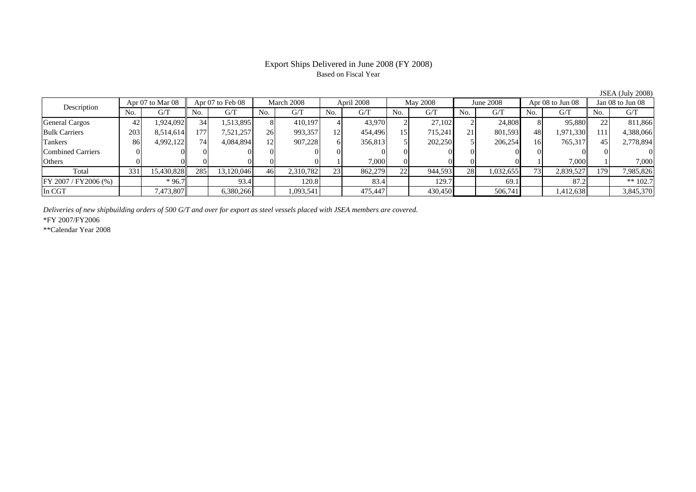### Export Ships Delivered in June 2008 (FY 2008) Based on Fiscal Year

No. I G/T II No. I G/T II No. I G/T II No. I G/T G/T II No. I G/T II No. I G/T II No. I G/T II No. I G/T II No  $\mathrm{G}/\mathrm{T}$ General Cargos | 42 | 1,924,092|| 34 | 1,513,895 | 8| 410,197 | 4| 43,970| 2| 27,102| 21,808| 8| 95,880|| 22| 811,866 Bulk Carriers 203 8,514,614 177 7,521,257 26 993,357 12 454,496 15 715,241 21 801,593 48 1,971,330 111 4,388,066 Tankers | 86 4,992,122 74 4,084,894 12 907,228 6 356,813 5 202,250 5 206,254 16 765,317 45 2,778,894 Combined Carriers 0 0 0 0 0 0 0 0 0 0 0 0 0 0 0 0Others | 0 | 0 | 0 | 0 | 1 | 7,000 | 0 | 0 | 0 | 1 | 7,000 | 1 | 7,000 Total 331 15,430,828 285 13,120,046 46 2,310,782 23 862,279 22 944,593 28 1,032,655 73 2,839,527 179 7,985,826 FY 2007 / FY 2006 (%) \* 96.7 83.4 120.8 120.8 83.4 129.7 69.1 83.2 83.4 \*\* 102.7 In CGT | | 7,473,807 || | 6,380,266 | | 1,093,541 | | 475,447 | | 430,450 | | 506,741 | | 1,412,638 | | 3,845,370 Description Apr 07 to Mar 08 || Apr 07 to Feb 08 || March 2008 || April 2008 || May 2008 || June 2008 || Apr 08 to Jun 08 || Jan 08 to Jun 08

*Deliveries of new shipbuilding orders of 500 G/T and over for export as steel vessels placed with JSEA members are covered.*

\*FY 2007/FY2006

\*\*Calendar Year 2008

JSEA (July 2008)